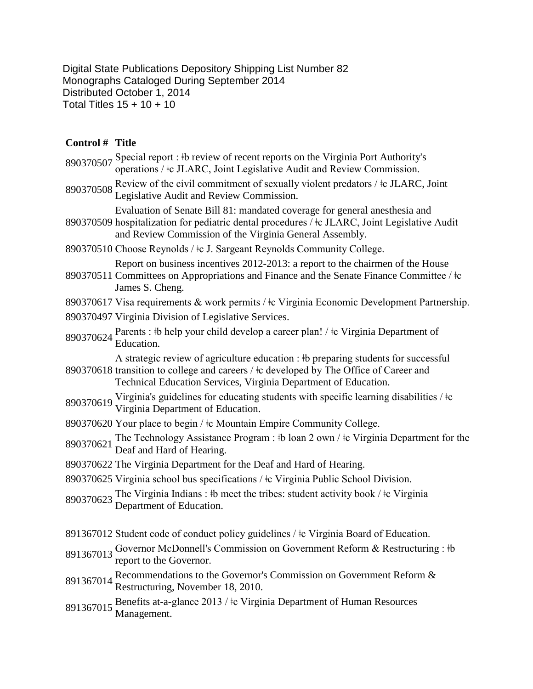Digital State Publications Depository Shipping List Number 82 Monographs Cataloged During September 2014 Distributed October 1, 2014 Total Titles 15 + 10 + 10

## **Control # Title**

| 890370507 | Special report : #b review of recent reports on the Virginia Port Authority's<br>operations / $\pm$ c JLARC, Joint Legislative Audit and Review Commission.                                                                                     |
|-----------|-------------------------------------------------------------------------------------------------------------------------------------------------------------------------------------------------------------------------------------------------|
| 890370508 | Review of the civil commitment of sexually violent predators / $\pm$ c JLARC, Joint<br>Legislative Audit and Review Commission.                                                                                                                 |
|           | Evaluation of Senate Bill 81: mandated coverage for general anesthesia and<br>890370509 hospitalization for pediatric dental procedures / $\pm$ c JLARC, Joint Legislative Audit<br>and Review Commission of the Virginia General Assembly.     |
|           | 890370510 Choose Reynolds / ‡c J. Sargeant Reynolds Community College.                                                                                                                                                                          |
|           | Report on business incentives 2012-2013: a report to the chairmen of the House<br>890370511 Committees on Appropriations and Finance and the Senate Finance Committee / ‡c<br>James S. Cheng.                                                   |
|           | 890370617 Visa requirements & work permits / ‡c Virginia Economic Development Partnership.                                                                                                                                                      |
|           | 890370497 Virginia Division of Legislative Services.                                                                                                                                                                                            |
|           | 890370624 Parents : #b help your child develop a career plan! / #c Virginia Department of<br>Education.                                                                                                                                         |
|           | A strategic review of agriculture education : #b preparing students for successful<br>890370618 transition to college and careers / ‡c developed by The Office of Career and<br>Technical Education Services, Virginia Department of Education. |
| 890370619 | Virginia's guidelines for educating students with specific learning disabilities / $\pm c$<br>Virginia Department of Education.                                                                                                                 |
|           | 890370620 Your place to begin / ‡c Mountain Empire Community College.                                                                                                                                                                           |
| 890370621 | The Technology Assistance Program : $\frac{1}{2}$ b loan 2 own / $\frac{1}{2}$ c Virginia Department for the<br>Deaf and Hard of Hearing.                                                                                                       |
|           | 890370622 The Virginia Department for the Deaf and Hard of Hearing.                                                                                                                                                                             |
|           | 890370625 Virginia school bus specifications / $\pm$ c Virginia Public School Division.                                                                                                                                                         |
| 890370623 | The Virginia Indians : $\frac{1}{2}$ the meet the tribes: student activity book / $\frac{1}{2}$ c Virginia<br>Department of Education.                                                                                                          |
|           | 891367012 Student code of conduct policy guidelines / ‡c Virginia Board of Education.                                                                                                                                                           |
| 891367013 | Governor McDonnell's Commission on Government Reform & Restructuring : #b<br>report to the Governor.                                                                                                                                            |
| 891367014 | Recommendations to the Governor's Commission on Government Reform &<br>Restructuring, November 18, 2010.                                                                                                                                        |
| 891367015 | Benefits at-a-glance 2013 / ‡c Virginia Department of Human Resources<br>Management.                                                                                                                                                            |